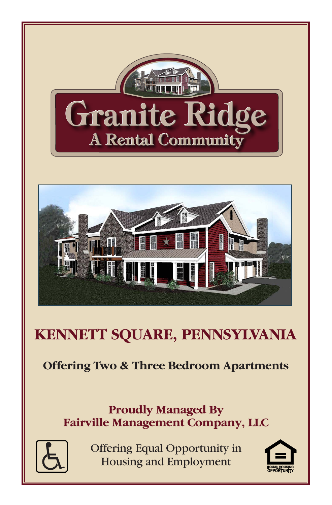



# **KENNETT SQUARE, PENNSYLVANIA**

## **Offering Two & Three Bedroom Apartments**

### **Proudly Managed By Fairville Management Company, LLC**



Offering Equal Opportunity in **Housing and Employment** 

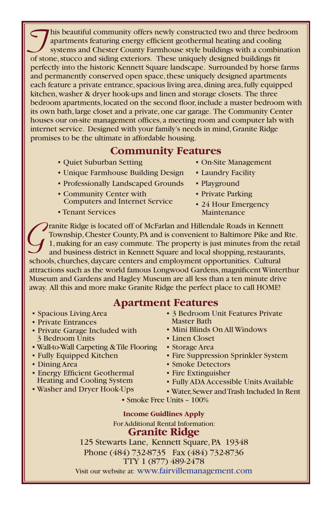This beautiful community offers newly constructed two and three bedroom<br>
systems and Chester County Farmhouse style buildings with a combination<br>
of stope studes and siding extensive university decimed buildings fit apartments featuring energy efficient geothermal heating and cooling of stone, stucco and siding exteriors. These uniquely designed buildings fit perfectly into the historic Kennett Square landscape. Surrounded by horse farms and permanently conserved open space, these uniquely designed apartments each feature a private entrance, spacious living area, dining area, fully equipped kitchen, washer & dryer hook-ups and linen and storage closets. The three bedroom apartments, located on the second floor, include a master bedroom with its own bath, large closet and a private, one car garage. The Community Center houses our on-site management offices, a meeting room and computer lab with internet service. Designed with your family's needs in mind, Granite Ridge promises to be the ultimate in affordable housing.

### **Community Features**

- Quiet Suburban Setting
- Unique Farmhouse Building Design
- Professionally Landscaped Grounds
- Community Center with Computers and Internet Service
- Tenant Services
- On-Site Management
- Laundry Facility
- Playground
- Private Parking
- 24 Hour Emergency Maintenance

Tranite Ridge is located off of McFarlan and Hillendale Roads in Kennett<br>Township, Chester County, PA and is convenient to Baltimore Pike and 1<br>1, making for an easy commute. The property is just minutes from the r<br>and bus Township, Chester County, PA and is convenient to Baltimore Pike and Rte. 1, making for an easy commute. The property is just minutes from the retail and business district in Kennett Square and local shopping, restaurants, schools, churches, daycare centers and employment opportunities. Cultural attractions such as the world famous Longwood Gardens, magnificent Winterthur Museum and Gardens and Hagley Museum are all less than a ten minute drive away. All this and more make Granite Ridge the perfect place to call HOME!

### **Apartment Features**

- Spacious Living Area
- Private Entrances
- Private Garage Included with 3 Bedroom Units
- Wall-to-Wall Carpeting & Tile Flooring
- Fully Equipped Kitchen
- Dining Area
- Energy Efficient Geothermal Heating and Cooling System
- Washer and Dryer Hook-Ups
- 3 Bedroom Unit Features Private Master Bath
- Mini Blinds On All Windows
- Linen Closet
- 
- 
- 
- Fire Extinguisher
- Fully ADA Accessible Units Available
- Water, Sewer and Trash Included In Rent
- Smoke Free Units 100%

**Income Guidlines Apply** For Additional Rental Information: **Granite Ridge** 125 Stewarts Lane, Kennett Square, PA 19348

Phone (484) 732-8735 Fax (484) 732-8736 TTY 1 (877) 489-2478

Visit our website at: www.fairvillemanagement.com

- - Storage Area
	- Fire Suppression Sprinkler System
	- Smoke Detectors
	-
	-
	-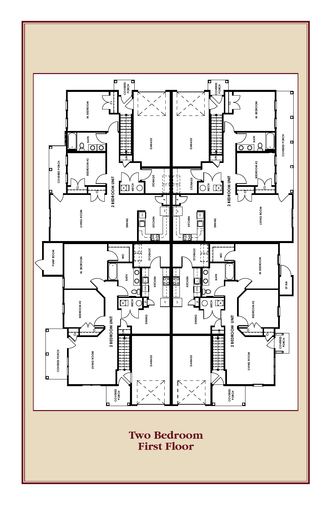